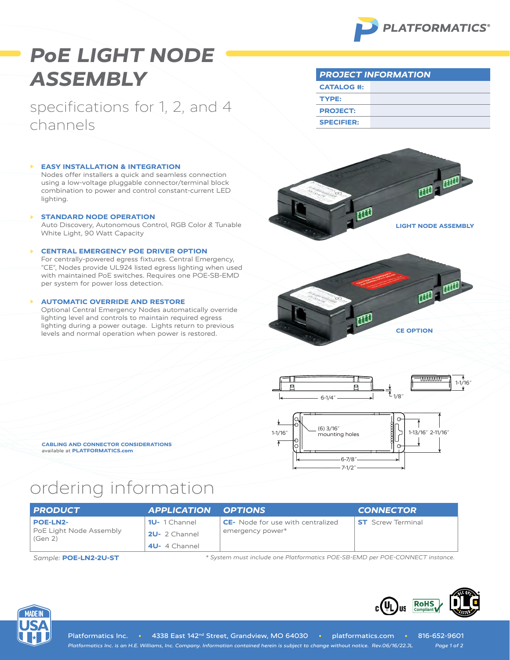

# *PoE LIGHT NODE ASSEMBLY*

specifications for 1, 2, and 4 channels

#### **EASY INSTALLATION & INTEGRATION**

Nodes offer installers a quick and seamless connection using a low-voltage pluggable connector/terminal block combination to power and control constant-current LED lighting.

**▶ STANDARD NODE OPERATION** Auto Discovery, Autonomous Control, RGB Color & Tunable White Light, 90 Watt Capacity

### **▶ CENTRAL EMERGENCY POE DRIVER OPTION**

For centrally-powered egress fixtures. Central Emergency, "CE", Nodes provide UL924 listed egress lighting when used with maintained PoE switches. Requires one POE-SB-EMD per system for power loss detection.

### **▶ AUTOMATIC OVERRIDE AND RESTORE**

Optional Central Emergency Nodes automatically override lighting level and controls to maintain required egress lighting during a power outage. Lights return to previous levels and normal operation when power is restored.



*PROJECT INFORMATION*

**CATALOG #:**

**TYPE: PROJECT: SPECIFIER:**







**CABLING AND CONNECTOR CONSIDERATIONS** available at **[PLATFORMATICS.com](https://platformatics.com/files/Cabling-Connector-Considerations.pdf)**

## ordering information

| <b>PRODUCT</b>                                        | <b>APPLICATION OPTIONS</b>                             |                                                              | <b>CONNECTOR</b>         |
|-------------------------------------------------------|--------------------------------------------------------|--------------------------------------------------------------|--------------------------|
| <b>POE-LN2-</b><br>PoE Light Node Assembly<br>(Gen 2) | <b>1U-</b> 1 Channel<br>2U- 2 Channel<br>4U- 4 Channel | <b>CE-</b> Node for use with centralized<br>emergency power* | <b>ST</b> Screw Terminal |

*Sample:* **POE-LN2-2U-ST** *\* System must include one Platformatics POE-SB-EMD per POE-CONNECT instance.*